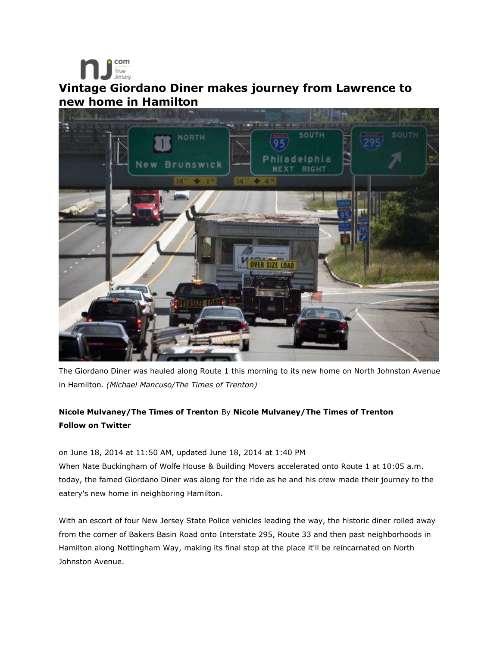## True<br>Jersey **Vintage Giordano Diner makes journey from Lawrence to new home in Hamilton**

com



The Giordano Diner was hauled along Route 1 this morning to its new home on North Johnston Avenue in Hamilton. *(Michael Mancuso/The Times of Trenton)*

## **Nicole Mulvaney/The Times of Trenton** By **Nicole Mulvaney/The Times of Trenton Follow on Twitter**

on June 18, 2014 at 11:50 AM, updated June 18, 2014 at 1:40 PM

When Nate Buckingham of Wolfe House & Building Movers accelerated onto Route 1 at 10:05 a.m. today, the famed Giordano Diner was along for the ride as he and his crew made their journey to the eatery's new home in neighboring Hamilton.

With an escort of four New Jersey State Police vehicles leading the way, the historic diner rolled away from the corner of Bakers Basin Road onto Interstate 295, Route 33 and then past neighborhoods in Hamilton along Nottingham Way, making its final stop at the place it'll be reincarnated on North Johnston Avenue.